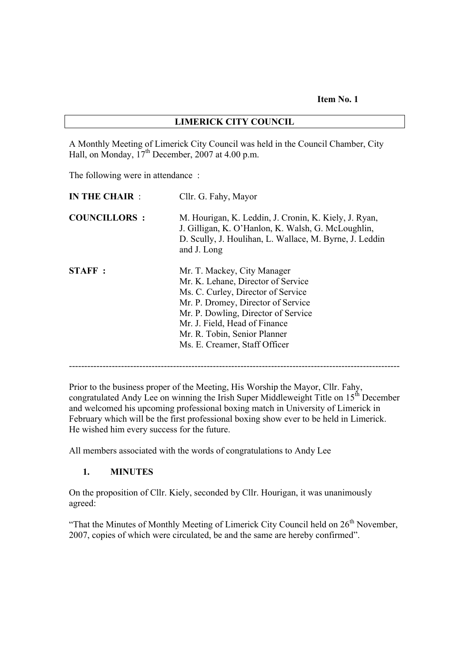**Item No. 1**

#### **LIMERICK CITY COUNCIL**

A Monthly Meeting of Limerick City Council was held in the Council Chamber, City Hall, on Monday,  $17<sup>th</sup>$  December, 2007 at 4.00 p.m.

The following were in attendance :

| IN THE CHAIR:       | Cllr. G. Fahy, Mayor                                                                                                                                                                                                                                                                   |
|---------------------|----------------------------------------------------------------------------------------------------------------------------------------------------------------------------------------------------------------------------------------------------------------------------------------|
| <b>COUNCILLORS:</b> | M. Hourigan, K. Leddin, J. Cronin, K. Kiely, J. Ryan,<br>J. Gilligan, K. O'Hanlon, K. Walsh, G. McLoughlin,<br>D. Scully, J. Houlihan, L. Wallace, M. Byrne, J. Leddin<br>and J. Long                                                                                                  |
| <b>STAFF</b> :      | Mr. T. Mackey, City Manager<br>Mr. K. Lehane, Director of Service<br>Ms. C. Curley, Director of Service<br>Mr. P. Dromey, Director of Service<br>Mr. P. Dowling, Director of Service<br>Mr. J. Field, Head of Finance<br>Mr. R. Tobin, Senior Planner<br>Ms. E. Creamer, Staff Officer |

------------------------------------------------------------------------------------------------------------

Prior to the business proper of the Meeting, His Worship the Mayor, Cllr. Fahy, congratulated Andy Lee on winning the Irish Super Middleweight Title on  $15<sup>th</sup>$  December and welcomed his upcoming professional boxing match in University of Limerick in February which will be the first professional boxing show ever to be held in Limerick. He wished him every success for the future.

All members associated with the words of congratulations to Andy Lee

#### **1. MINUTES**

On the proposition of Cllr. Kiely, seconded by Cllr. Hourigan, it was unanimously agreed:

"That the Minutes of Monthly Meeting of Limerick City Council held on  $26<sup>th</sup>$  November, 2007, copies of which were circulated, be and the same are hereby confirmed".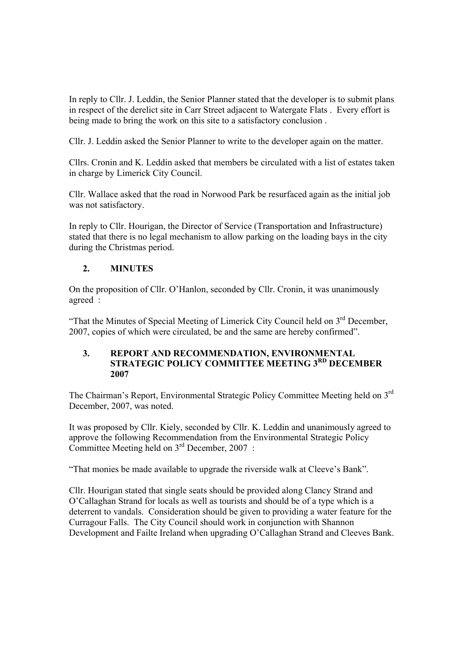In reply to Cllr. J. Leddin, the Senior Planner stated that the developer is to submit plans in respect of the derelict site in Carr Street adjacent to Watergate Flats . Every effort is being made to bring the work on this site to a satisfactory conclusion .

Cllr. J. Leddin asked the Senior Planner to write to the developer again on the matter.

Cllrs. Cronin and K. Leddin asked that members be circulated with a list of estates taken in charge by Limerick City Council.

Cllr. Wallace asked that the road in Norwood Park be resurfaced again as the initial job was not satisfactory.

In reply to Cllr. Hourigan, the Director of Service (Transportation and Infrastructure) stated that there is no legal mechanism to allow parking on the loading bays in the city during the Christmas period.

# **2. MINUTES**

On the proposition of Cllr. O'Hanlon, seconded by Cllr. Cronin, it was unanimously agreed :

"That the Minutes of Special Meeting of Limerick City Council held on  $3<sup>rd</sup>$  December, 2007, copies of which were circulated, be and the same are hereby confirmed".

#### **3. REPORT AND RECOMMENDATION, ENVIRONMENTAL STRATEGIC POLICY COMMITTEE MEETING 3RD DECEMBER 2007**

The Chairman's Report, Environmental Strategic Policy Committee Meeting held on 3rd December, 2007, was noted.

It was proposed by Cllr. Kiely, seconded by Cllr. K. Leddin and unanimously agreed to approve the following Recommendation from the Environmental Strategic Policy Committee Meeting held on 3<sup>rd</sup> December, 2007 :

"That monies be made available to upgrade the riverside walk at Cleeve's Bank".

Cllr. Hourigan stated that single seats should be provided along Clancy Strand and O'Callaghan Strand for locals as well as tourists and should be of a type which is a deterrent to vandals. Consideration should be given to providing a water feature for the Curragour Falls. The City Council should work in conjunction with Shannon Development and Failte Ireland when upgrading O'Callaghan Strand and Cleeves Bank.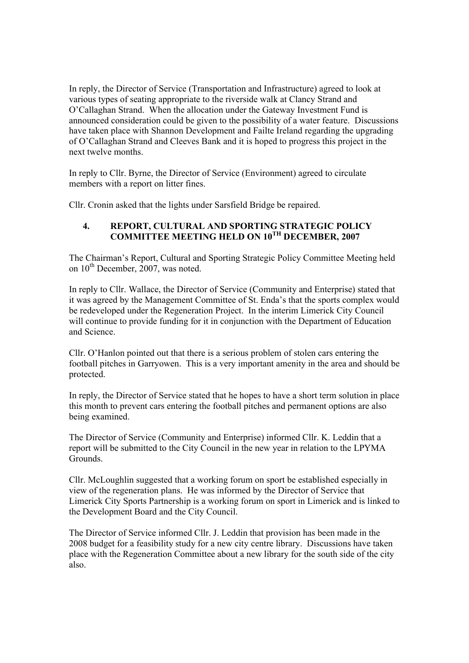In reply, the Director of Service (Transportation and Infrastructure) agreed to look at various types of seating appropriate to the riverside walk at Clancy Strand and O'Callaghan Strand. When the allocation under the Gateway Investment Fund is announced consideration could be given to the possibility of a water feature. Discussions have taken place with Shannon Development and Failte Ireland regarding the upgrading of O'Callaghan Strand and Cleeves Bank and it is hoped to progress this project in the next twelve months.

In reply to Cllr. Byrne, the Director of Service (Environment) agreed to circulate members with a report on litter fines.

Cllr. Cronin asked that the lights under Sarsfield Bridge be repaired.

### **4. REPORT, CULTURAL AND SPORTING STRATEGIC POLICY COMMITTEE MEETING HELD ON 10TH DECEMBER, 2007**

The Chairman's Report, Cultural and Sporting Strategic Policy Committee Meeting held on  $10^{th}$  December, 2007, was noted.

In reply to Cllr. Wallace, the Director of Service (Community and Enterprise) stated that it was agreed by the Management Committee of St. Enda's that the sports complex would be redeveloped under the Regeneration Project. In the interim Limerick City Council will continue to provide funding for it in conjunction with the Department of Education and Science.

Cllr. O'Hanlon pointed out that there is a serious problem of stolen cars entering the football pitches in Garryowen. This is a very important amenity in the area and should be protected.

In reply, the Director of Service stated that he hopes to have a short term solution in place this month to prevent cars entering the football pitches and permanent options are also being examined.

The Director of Service (Community and Enterprise) informed Cllr. K. Leddin that a report will be submitted to the City Council in the new year in relation to the LPYMA Grounds.

Cllr. McLoughlin suggested that a working forum on sport be established especially in view of the regeneration plans. He was informed by the Director of Service that Limerick City Sports Partnership is a working forum on sport in Limerick and is linked to the Development Board and the City Council.

The Director of Service informed Cllr. J. Leddin that provision has been made in the 2008 budget for a feasibility study for a new city centre library. Discussions have taken place with the Regeneration Committee about a new library for the south side of the city also.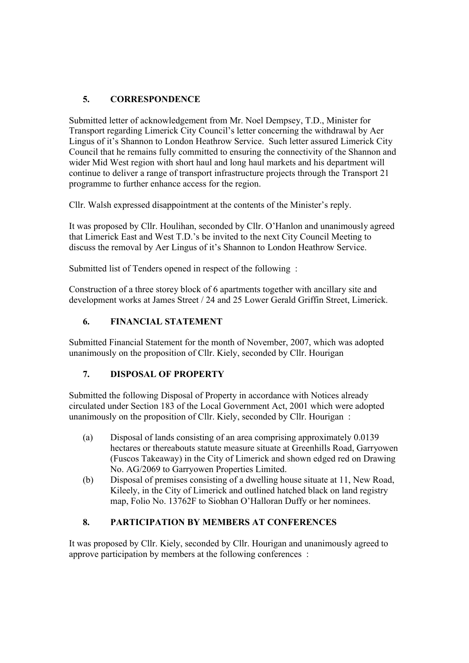# **5. CORRESPONDENCE**

Submitted letter of acknowledgement from Mr. Noel Dempsey, T.D., Minister for Transport regarding Limerick City Council's letter concerning the withdrawal by Aer Lingus of it's Shannon to London Heathrow Service. Such letter assured Limerick City Council that he remains fully committed to ensuring the connectivity of the Shannon and wider Mid West region with short haul and long haul markets and his department will continue to deliver a range of transport infrastructure projects through the Transport 21 programme to further enhance access for the region.

Cllr. Walsh expressed disappointment at the contents of the Minister's reply.

It was proposed by Cllr. Houlihan, seconded by Cllr. O'Hanlon and unanimously agreed that Limerick East and West T.D.'s be invited to the next City Council Meeting to discuss the removal by Aer Lingus of it's Shannon to London Heathrow Service.

Submitted list of Tenders opened in respect of the following :

Construction of a three storey block of 6 apartments together with ancillary site and development works at James Street / 24 and 25 Lower Gerald Griffin Street, Limerick.

# **6. FINANCIAL STATEMENT**

Submitted Financial Statement for the month of November, 2007, which was adopted unanimously on the proposition of Cllr. Kiely, seconded by Cllr. Hourigan

# **7. DISPOSAL OF PROPERTY**

Submitted the following Disposal of Property in accordance with Notices already circulated under Section 183 of the Local Government Act, 2001 which were adopted unanimously on the proposition of Cllr. Kiely, seconded by Cllr. Hourigan :

- (a) Disposal of lands consisting of an area comprising approximately 0.0139 hectares or thereabouts statute measure situate at Greenhills Road, Garryowen (Fuscos Takeaway) in the City of Limerick and shown edged red on Drawing No. AG/2069 to Garryowen Properties Limited.
- (b) Disposal of premises consisting of a dwelling house situate at 11, New Road, Kileely, in the City of Limerick and outlined hatched black on land registry map, Folio No. 13762F to Siobhan O'Halloran Duffy or her nominees.

# **8. PARTICIPATION BY MEMBERS AT CONFERENCES**

It was proposed by Cllr. Kiely, seconded by Cllr. Hourigan and unanimously agreed to approve participation by members at the following conferences :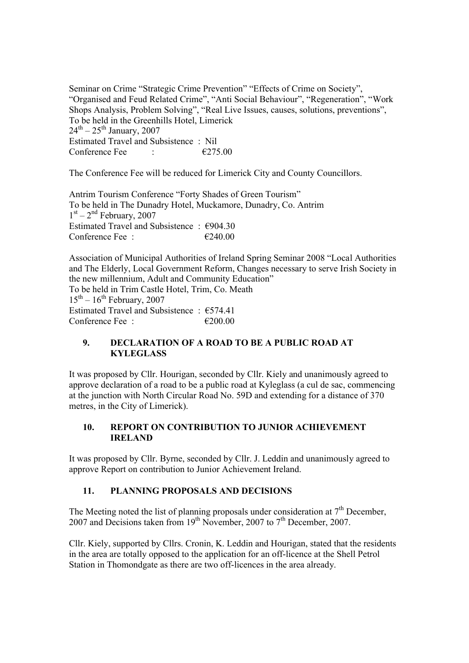Seminar on Crime "Strategic Crime Prevention" "Effects of Crime on Society", "Organised and Feud Related Crime", "Anti Social Behaviour", "Regeneration", "Work Shops Analysis, Problem Solving", "Real Live Issues, causes, solutions, preventions", To be held in the Greenhills Hotel, Limerick  $24^{\text{th}} - 25^{\text{th}}$  January, 2007 Estimated Travel and Subsistence : Nil Conference Fee :  $\epsilon$  275.00

The Conference Fee will be reduced for Limerick City and County Councillors.

Antrim Tourism Conference "Forty Shades of Green Tourism" To be held in The Dunadry Hotel, Muckamore, Dunadry, Co. Antrim  $1<sup>st</sup> - 2<sup>nd</sup>$  February, 2007 Estimated Travel and Subsistence :  $\epsilon$ 904.30 Conference Fee :  $\epsilon$  6240.00

Association of Municipal Authorities of Ireland Spring Seminar 2008 "Local Authorities and The Elderly, Local Government Reform, Changes necessary to serve Irish Society in the new millennium, Adult and Community Education" To be held in Trim Castle Hotel, Trim, Co. Meath  $15<sup>th</sup> - 16<sup>th</sup>$  February, 2007 Estimated Travel and Subsistence :  $€574.41$ Conference Fee :  $\epsilon$  200.00

### **9. DECLARATION OF A ROAD TO BE A PUBLIC ROAD AT KYLEGLASS**

It was proposed by Cllr. Hourigan, seconded by Cllr. Kiely and unanimously agreed to approve declaration of a road to be a public road at Kyleglass (a cul de sac, commencing at the junction with North Circular Road No. 59D and extending for a distance of 370 metres, in the City of Limerick).

# **10. REPORT ON CONTRIBUTION TO JUNIOR ACHIEVEMENT IRELAND**

It was proposed by Cllr. Byrne, seconded by Cllr. J. Leddin and unanimously agreed to approve Report on contribution to Junior Achievement Ireland.

# **11. PLANNING PROPOSALS AND DECISIONS**

The Meeting noted the list of planning proposals under consideration at  $7<sup>th</sup>$  December, 2007 and Decisions taken from  $19<sup>th</sup>$  November, 2007 to  $7<sup>th</sup>$  December, 2007.

Cllr. Kiely, supported by Cllrs. Cronin, K. Leddin and Hourigan, stated that the residents in the area are totally opposed to the application for an off-licence at the Shell Petrol Station in Thomondgate as there are two off-licences in the area already.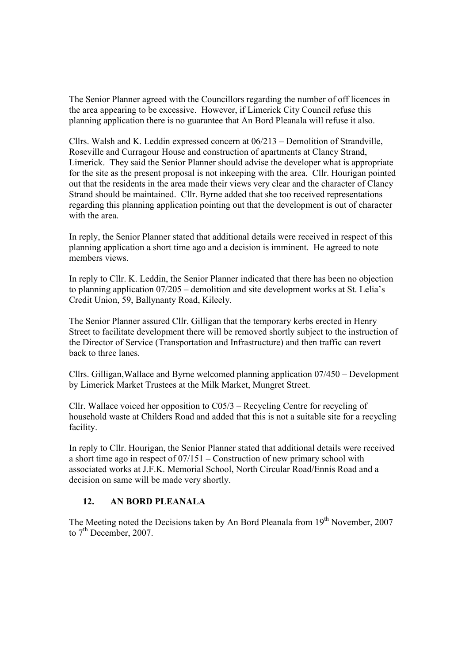The Senior Planner agreed with the Councillors regarding the number of off licences in the area appearing to be excessive. However, if Limerick City Council refuse this planning application there is no guarantee that An Bord Pleanala will refuse it also.

Cllrs. Walsh and K. Leddin expressed concern at 06/213 – Demolition of Strandville, Roseville and Curragour House and construction of apartments at Clancy Strand, Limerick. They said the Senior Planner should advise the developer what is appropriate for the site as the present proposal is not inkeeping with the area. Cllr. Hourigan pointed out that the residents in the area made their views very clear and the character of Clancy Strand should be maintained. Cllr. Byrne added that she too received representations regarding this planning application pointing out that the development is out of character with the area.

In reply, the Senior Planner stated that additional details were received in respect of this planning application a short time ago and a decision is imminent. He agreed to note members views.

In reply to Cllr. K. Leddin, the Senior Planner indicated that there has been no objection to planning application 07/205 – demolition and site development works at St. Lelia's Credit Union, 59, Ballynanty Road, Kileely.

The Senior Planner assured Cllr. Gilligan that the temporary kerbs erected in Henry Street to facilitate development there will be removed shortly subject to the instruction of the Director of Service (Transportation and Infrastructure) and then traffic can revert back to three lanes.

Cllrs. Gilligan,Wallace and Byrne welcomed planning application 07/450 – Development by Limerick Market Trustees at the Milk Market, Mungret Street.

Cllr. Wallace voiced her opposition to  $C_{05/3}$  – Recycling Centre for recycling of household waste at Childers Road and added that this is not a suitable site for a recycling facility.

In reply to Cllr. Hourigan, the Senior Planner stated that additional details were received a short time ago in respect of 07/151 – Construction of new primary school with associated works at J.F.K. Memorial School, North Circular Road/Ennis Road and a decision on same will be made very shortly.

#### **12. AN BORD PLEANALA**

The Meeting noted the Decisions taken by An Bord Pleanala from  $19<sup>th</sup>$  November, 2007 to  $7<sup>th</sup>$  December, 2007.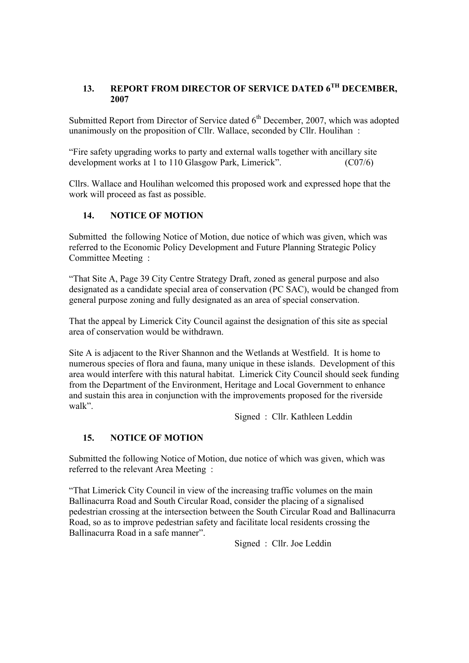# **13. REPORT FROM DIRECTOR OF SERVICE DATED 6TH DECEMBER, 2007**

Submitted Report from Director of Service dated  $6<sup>th</sup>$  December, 2007, which was adopted unanimously on the proposition of Cllr. Wallace, seconded by Cllr. Houlihan :

"Fire safety upgrading works to party and external walls together with ancillary site development works at 1 to 110 Glasgow Park, Limerick". (C07/6)

Cllrs. Wallace and Houlihan welcomed this proposed work and expressed hope that the work will proceed as fast as possible.

# **14. NOTICE OF MOTION**

Submitted the following Notice of Motion, due notice of which was given, which was referred to the Economic Policy Development and Future Planning Strategic Policy Committee Meeting :

"That Site A, Page 39 City Centre Strategy Draft, zoned as general purpose and also designated as a candidate special area of conservation (PC SAC), would be changed from general purpose zoning and fully designated as an area of special conservation.

That the appeal by Limerick City Council against the designation of this site as special area of conservation would be withdrawn.

Site A is adjacent to the River Shannon and the Wetlands at Westfield. It is home to numerous species of flora and fauna, many unique in these islands. Development of this area would interfere with this natural habitat. Limerick City Council should seek funding from the Department of the Environment, Heritage and Local Government to enhance and sustain this area in conjunction with the improvements proposed for the riverside walk".

Signed : Cllr. Kathleen Leddin

#### **15. NOTICE OF MOTION**

Submitted the following Notice of Motion, due notice of which was given, which was referred to the relevant Area Meeting :

"That Limerick City Council in view of the increasing traffic volumes on the main Ballinacurra Road and South Circular Road, consider the placing of a signalised pedestrian crossing at the intersection between the South Circular Road and Ballinacurra Road, so as to improve pedestrian safety and facilitate local residents crossing the Ballinacurra Road in a safe manner".

Signed : Cllr. Joe Leddin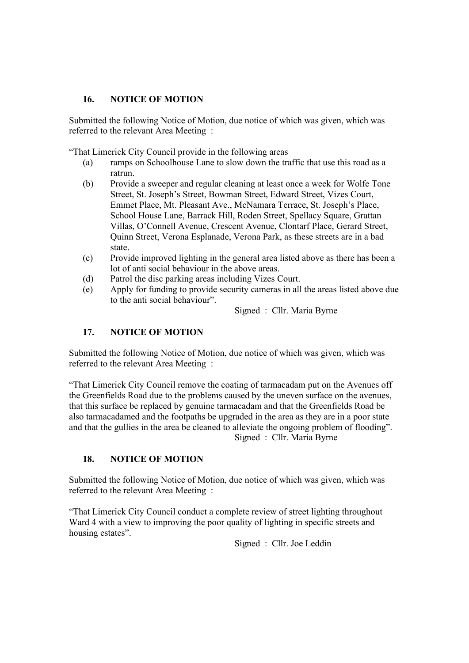### **16. NOTICE OF MOTION**

Submitted the following Notice of Motion, due notice of which was given, which was referred to the relevant Area Meeting :

"That Limerick City Council provide in the following areas

- (a) ramps on Schoolhouse Lane to slow down the traffic that use this road as a ratrun.
- (b) Provide a sweeper and regular cleaning at least once a week for Wolfe Tone Street, St. Joseph's Street, Bowman Street, Edward Street, Vizes Court, Emmet Place, Mt. Pleasant Ave., McNamara Terrace, St. Joseph's Place, School House Lane, Barrack Hill, Roden Street, Spellacy Square, Grattan Villas, O'Connell Avenue, Crescent Avenue, Clontarf Place, Gerard Street, Quinn Street, Verona Esplanade, Verona Park, as these streets are in a bad state.
- (c) Provide improved lighting in the general area listed above as there has been a lot of anti social behaviour in the above areas.
- (d) Patrol the disc parking areas including Vizes Court.
- (e) Apply for funding to provide security cameras in all the areas listed above due to the anti social behaviour".

Signed : Cllr. Maria Byrne

## **17. NOTICE OF MOTION**

Submitted the following Notice of Motion, due notice of which was given, which was referred to the relevant Area Meeting :

"That Limerick City Council remove the coating of tarmacadam put on the Avenues off the Greenfields Road due to the problems caused by the uneven surface on the avenues, that this surface be replaced by genuine tarmacadam and that the Greenfields Road be also tarmacadamed and the footpaths be upgraded in the area as they are in a poor state and that the gullies in the area be cleaned to alleviate the ongoing problem of flooding". Signed : Cllr. Maria Byrne

#### **18. NOTICE OF MOTION**

Submitted the following Notice of Motion, due notice of which was given, which was referred to the relevant Area Meeting :

"That Limerick City Council conduct a complete review of street lighting throughout Ward 4 with a view to improving the poor quality of lighting in specific streets and housing estates".

Signed : Cllr. Joe Leddin